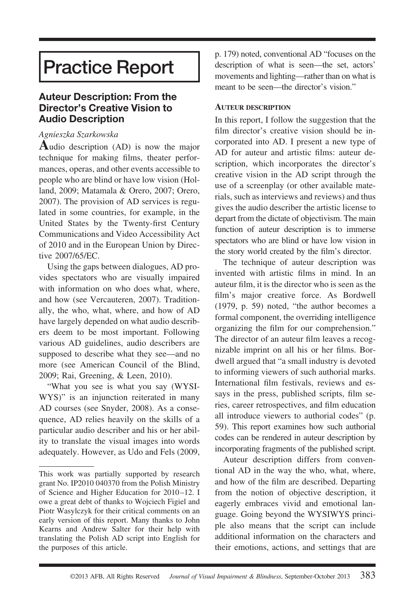# **Practice Report**

# **Auteur Description: From the Director's Creative Vision to Audio Description**

#### *Agnieszka Szarkowska*

**A**udio description (AD) is now the major technique for making films, theater performances, operas, and other events accessible to people who are blind or have low vision (Holland, 2009; Matamala & Orero, 2007; Orero, 2007). The provision of AD services is regulated in some countries, for example, in the United States by the Twenty-first Century Communications and Video Accessibility Act of 2010 and in the European Union by Directive 2007/65/EC.

Using the gaps between dialogues, AD provides spectators who are visually impaired with information on who does what, where, and how (see Vercauteren, 2007). Traditionally, the who, what, where, and how of AD have largely depended on what audio describers deem to be most important. Following various AD guidelines, audio describers are supposed to describe what they see—and no more (see American Council of the Blind, 2009; Rai, Greening, & Leen, 2010).

"What you see is what you say (WYSI-WYS)" is an injunction reiterated in many AD courses (see Snyder, 2008). As a consequence, AD relies heavily on the skills of a particular audio describer and his or her ability to translate the visual images into words adequately. However, as Udo and Fels (2009, p. 179) noted, conventional AD "focuses on the description of what is seen—the set, actors' movements and lighting—rather than on what is meant to be seen—the director's vision."

#### **AUTEUR DESCRIPTION**

In this report, I follow the suggestion that the film director's creative vision should be incorporated into AD. I present a new type of AD for auteur and artistic films: auteur description, which incorporates the director's creative vision in the AD script through the use of a screenplay (or other available materials, such as interviews and reviews) and thus gives the audio describer the artistic license to depart from the dictate of objectivism. The main function of auteur description is to immerse spectators who are blind or have low vision in the story world created by the film's director.

The technique of auteur description was invented with artistic films in mind. In an auteur film, it is the director who is seen as the film's major creative force. As Bordwell (1979, p. 59) noted, "the author becomes a formal component, the overriding intelligence organizing the film for our comprehension." The director of an auteur film leaves a recognizable imprint on all his or her films. Bordwell argued that "a small industry is devoted to informing viewers of such authorial marks. International film festivals, reviews and essays in the press, published scripts, film series, career retrospectives, and film education all introduce viewers to authorial codes" (p. 59). This report examines how such authorial codes can be rendered in auteur description by incorporating fragments of the published script.

Auteur description differs from conventional AD in the way the who, what, where, and how of the film are described. Departing from the notion of objective description, it eagerly embraces vivid and emotional language. Going beyond the WYSIWYS principle also means that the script can include additional information on the characters and their emotions, actions, and settings that are

This work was partially supported by research grant No. IP2010 040370 from the Polish Ministry of Science and Higher Education for 2010 –12. I owe a great debt of thanks to Wojciech Figiel and Piotr Wasylczyk for their critical comments on an early version of this report. Many thanks to John Kearns and Andrew Salter for their help with translating the Polish AD script into English for the purposes of this article.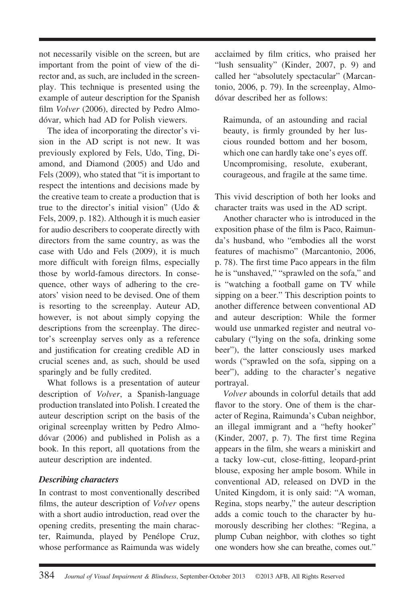not necessarily visible on the screen, but are important from the point of view of the director and, as such, are included in the screenplay. This technique is presented using the example of auteur description for the Spanish film *Volver* (2006), directed by Pedro Almodóvar, which had AD for Polish viewers.

The idea of incorporating the director's vision in the AD script is not new. It was previously explored by Fels, Udo, Ting, Diamond, and Diamond (2005) and Udo and Fels (2009), who stated that "it is important to respect the intentions and decisions made by the creative team to create a production that is true to the director's initial vision" (Udo & Fels, 2009, p. 182). Although it is much easier for audio describers to cooperate directly with directors from the same country, as was the case with Udo and Fels (2009), it is much more difficult with foreign films, especially those by world-famous directors. In consequence, other ways of adhering to the creators' vision need to be devised. One of them is resorting to the screenplay. Auteur AD, however, is not about simply copying the descriptions from the screenplay. The director's screenplay serves only as a reference and justification for creating credible AD in crucial scenes and, as such, should be used sparingly and be fully credited.

What follows is a presentation of auteur description of *Volver*, a Spanish-language production translated into Polish. I created the auteur description script on the basis of the original screenplay written by Pedro Almodóvar (2006) and published in Polish as a book. In this report, all quotations from the auteur description are indented.

# *Describing characters*

In contrast to most conventionally described films, the auteur description of *Volver* opens with a short audio introduction, read over the opening credits, presenting the main character, Raimunda, played by Penélope Cruz, whose performance as Raimunda was widely

acclaimed by film critics, who praised her "lush sensuality" (Kinder, 2007, p. 9) and called her "absolutely spectacular" (Marcantonio, 2006, p. 79). In the screenplay, Almodóvar described her as follows:

Raimunda, of an astounding and racial beauty, is firmly grounded by her luscious rounded bottom and her bosom, which one can hardly take one's eyes off. Uncompromising, resolute, exuberant, courageous, and fragile at the same time.

This vivid description of both her looks and character traits was used in the AD script.

Another character who is introduced in the exposition phase of the film is Paco, Raimunda's husband, who "embodies all the worst features of machismo" (Marcantonio, 2006, p. 78). The first time Paco appears in the film he is "unshaved," "sprawled on the sofa," and is "watching a football game on TV while sipping on a beer." This description points to another difference between conventional AD and auteur description: While the former would use unmarked register and neutral vocabulary ("lying on the sofa, drinking some beer"), the latter consciously uses marked words ("sprawled on the sofa, sipping on a beer"), adding to the character's negative portrayal.

*Volver* abounds in colorful details that add flavor to the story. One of them is the character of Regina, Raimunda's Cuban neighbor, an illegal immigrant and a "hefty hooker" (Kinder, 2007, p. 7). The first time Regina appears in the film, she wears a miniskirt and a tacky low-cut, close-fitting, leopard-print blouse, exposing her ample bosom. While in conventional AD, released on DVD in the United Kingdom, it is only said: "A woman, Regina, stops nearby," the auteur description adds a comic touch to the character by humorously describing her clothes: "Regina, a plump Cuban neighbor, with clothes so tight one wonders how she can breathe, comes out."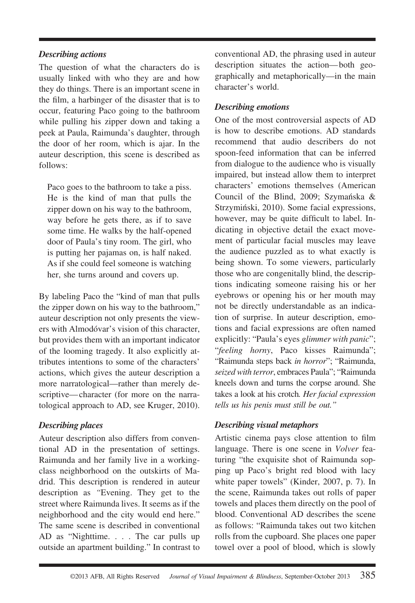#### *Describing actions*

The question of what the characters do is usually linked with who they are and how they do things. There is an important scene in the film, a harbinger of the disaster that is to occur, featuring Paco going to the bathroom while pulling his zipper down and taking a peek at Paula, Raimunda's daughter, through the door of her room, which is ajar. In the auteur description, this scene is described as follows:

Paco goes to the bathroom to take a piss. He is the kind of man that pulls the zipper down on his way to the bathroom, way before he gets there, as if to save some time. He walks by the half-opened door of Paula's tiny room. The girl, who is putting her pajamas on, is half naked. As if she could feel someone is watching her, she turns around and covers up.

By labeling Paco the "kind of man that pulls the zipper down on his way to the bathroom," auteur description not only presents the viewers with Almodóvar's vision of this character, but provides them with an important indicator of the looming tragedy. It also explicitly attributes intentions to some of the characters' actions, which gives the auteur description a more narratological—rather than merely descriptive— character (for more on the narratological approach to AD, see Kruger, 2010).

# *Describing places*

Auteur description also differs from conventional AD in the presentation of settings. Raimunda and her family live in a workingclass neighborhood on the outskirts of Madrid. This description is rendered in auteur description as *"*Evening. They get to the street where Raimunda lives. It seems as if the neighborhood and the city would end here." The same scene is described in conventional AD as "Nighttime. . . . The car pulls up outside an apartment building." In contrast to conventional AD, the phrasing used in auteur description situates the action— both geographically and metaphorically—in the main character's world.

# *Describing emotions*

One of the most controversial aspects of AD is how to describe emotions. AD standards recommend that audio describers do not spoon-feed information that can be inferred from dialogue to the audience who is visually impaired, but instead allow them to interpret characters' emotions themselves (American Council of the Blind, 2009; Szymańska  $\&$ Strzymiński, 2010). Some facial expressions, however, may be quite difficult to label. Indicating in objective detail the exact movement of particular facial muscles may leave the audience puzzled as to what exactly is being shown. To some viewers, particularly those who are congenitally blind, the descriptions indicating someone raising his or her eyebrows or opening his or her mouth may not be directly understandable as an indication of surprise. In auteur description, emotions and facial expressions are often named explicitly: "Paula's eyes *glimmer with panic*"; "*feeling horny*, Paco kisses Raimunda"; "Raimunda steps back *in horror*"; "Raimunda, *seized with terror*, embraces Paula"; "Raimunda kneels down and turns the corpse around. She takes a look at his crotch*. Her facial expression tells us his penis must still be out."*

# *Describing visual metaphors*

Artistic cinema pays close attention to film language. There is one scene in *Volver* featuring "the exquisite shot of Raimunda sopping up Paco's bright red blood with lacy white paper towels" (Kinder, 2007, p. 7). In the scene, Raimunda takes out rolls of paper towels and places them directly on the pool of blood. Conventional AD describes the scene as follows: "Raimunda takes out two kitchen rolls from the cupboard. She places one paper towel over a pool of blood, which is slowly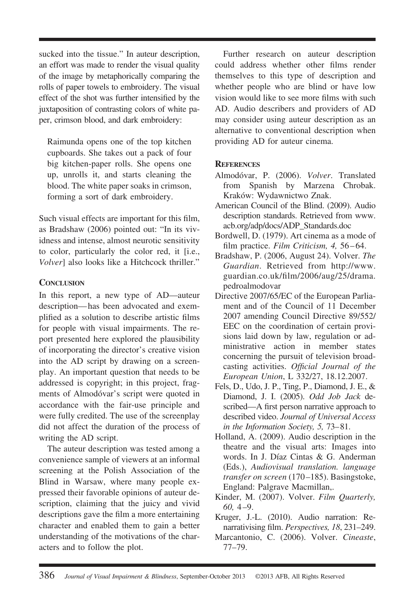sucked into the tissue." In auteur description, an effort was made to render the visual quality of the image by metaphorically comparing the rolls of paper towels to embroidery. The visual effect of the shot was further intensified by the juxtaposition of contrasting colors of white paper, crimson blood, and dark embroidery:

Raimunda opens one of the top kitchen cupboards. She takes out a pack of four big kitchen-paper rolls. She opens one up, unrolls it, and starts cleaning the blood. The white paper soaks in crimson, forming a sort of dark embroidery.

Such visual effects are important for this film, as Bradshaw (2006) pointed out: "In its vividness and intense, almost neurotic sensitivity to color, particularly the color red, it [i.e., *Volver*] also looks like a Hitchcock thriller."

#### **CONCLUSION**

In this report, a new type of AD—auteur description— has been advocated and exemplified as a solution to describe artistic films for people with visual impairments. The report presented here explored the plausibility of incorporating the director's creative vision into the AD script by drawing on a screenplay. An important question that needs to be addressed is copyright; in this project, fragments of Almodóvar's script were quoted in accordance with the fair-use principle and were fully credited. The use of the screenplay did not affect the duration of the process of writing the AD script.

The auteur description was tested among a convenience sample of viewers at an informal screening at the Polish Association of the Blind in Warsaw, where many people expressed their favorable opinions of auteur description, claiming that the juicy and vivid descriptions gave the film a more entertaining character and enabled them to gain a better understanding of the motivations of the characters and to follow the plot.

Further research on auteur description could address whether other films render themselves to this type of description and whether people who are blind or have low vision would like to see more films with such AD. Audio describers and providers of AD may consider using auteur description as an alternative to conventional description when providing AD for auteur cinema.

# **REFERENCES**

- Almodóvar, P. (2006). *Volver*. Translated from Spanish by Marzena Chrobak. Kraków: Wydawnictwo Znak.
- American Council of the Blind. (2009). Audio description standards. Retrieved from www. acb.org/adp/docs/ADP\_Standards.doc
- Bordwell, D. (1979). Art cinema as a mode of film practice. *Film Criticism, 4, 56-64.*
- Bradshaw, P. (2006, August 24). Volver. *The Guardian*. Retrieved from http://www. guardian.co.uk/film/2006/aug/25/drama. pedroalmodovar
- Directive 2007/65/EC of the European Parliament and of the Council of 11 December 2007 amending Council Directive 89/552/ EEC on the coordination of certain provisions laid down by law, regulation or administrative action in member states concerning the pursuit of television broadcasting activities. *Official Journal of the European Union*, L 332/27, 18.12.2007.
- Fels, D., Udo, J. P., Ting, P., Diamond, J. E., & Diamond, J. I. (2005). *Odd Job Jack* described—A first person narrative approach to described video. *Journal of Universal Access in the Information Society, 5,* 73– 81.
- Holland, A. (2009). Audio description in the theatre and the visual arts: Images into words. In J. Díaz Cintas & G. Anderman (Eds.), *Audiovisual translation. language transfer on screen* (170 –185). Basingstoke, England: Palgrave Macmillan,.
- Kinder, M. (2007). Volver. *Film Quarterly, 60,* 4 –9.
- Kruger, J.-L. (2010). Audio narration: Renarrativising film. *Perspectives, 18*, 231–249.
- Marcantonio, C. (2006). Volver. *Cineaste*, 77–79.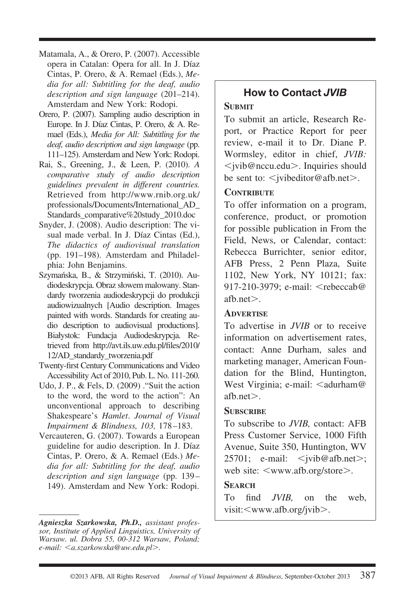- Matamala, A., & Orero, P. (2007). Accessible opera in Catalan: Opera for all. In J. Díaz Cintas, P. Orero, & A. Remael (Eds.), *Media for all: Subtitling for the deaf, audio description and sign language* (201–214). Amsterdam and New York: Rodopi.
- Orero, P. (2007). Sampling audio description in Europe. In J. Díaz Cintas, P. Orero, & A. Remael (Eds.), *Media for All: Subtitling for the deaf, audio description and sign language* (pp. 111–125). Amsterdam and New York: Rodopi.
- Rai, S., Greening, J., & Leen, P. (2010). *A comparative study of audio description guidelines prevalent in different countries.* Retrieved from http://www.rnib.org.uk/ professionals/Documents/International\_AD\_ Standards\_comparative%20study\_2010.doc
- Snyder, J. (2008). Audio description: The visual made verbal. In J. Díaz Cintas (Ed.), *The didactics of audiovisual translation* (pp. 191–198). Amsterdam and Philadelphia: John Benjamins.
- Szymańska, B., & Strzymiński, T. (2010). Audiodeskrypcja. Obraz słowem malowany. Standardy tworzenia audiodeskrypcji do produkcji audiowizualnych [Audio description. Images painted with words. Standards for creating audio description to audiovisual productions]. Białystok: Fundacja Audiodeskrypcja. Retrieved from http://avt.ils.uw.edu.pl/files/2010/ 12/AD\_standardy\_tworzenia.pdf
- Twenty-first Century Communications and Video Accessibility Act of 2010, Pub. L. No. 111-260.
- Udo, J. P., & Fels, D. (2009) ."Suit the action to the word, the word to the action": An unconventional approach to describing Shakespeare's *Hamlet*. *Journal of Visual Impairment & Blindness, 103,* 178 –183.
- Vercauteren, G. (2007). Towards a European guideline for audio description. In J. Díaz Cintas, P. Orero, & A. Remael (Eds.) *Media for all: Subtitling for the deaf, audio description and sign language* (pp. 139 – 149). Amsterdam and New York: Rodopi.

# **How to Contact** *JVIB*

# **SUBMIT**

To submit an article, Research Report, or Practice Report for peer review, e-mail it to Dr. Diane P. Wormsley, editor in chief, *JVIB:* < jvib@nccu.edu>. Inquiries should be sent to:  $\leq$  jvibeditor@afb.net >.

# **CONTRIBUTE**

To offer information on a program, conference, product, or promotion for possible publication in From the Field, News, or Calendar, contact: Rebecca Burrichter, senior editor, AFB Press, 2 Penn Plaza, Suite 1102, New York, NY 10121; fax: 917-210-3979; e-mail:  $\leq$ rebeccab@ afb.net $\geq$ .

# **ADVERTISE**

To advertise in *JVIB* or to receive information on advertisement rates, contact: Anne Durham, sales and marketing manager, American Foundation for the Blind, Huntington, West Virginia; e-mail:  $\leq$ adurham@ afb.net $>$ .

# **SUBSCRIBE**

To subscribe to *JVIB,* contact: AFB Press Customer Service, 1000 Fifth Avenue, Suite 350, Huntington, WV  $25701$ ; e-mail:  $\leq$ jvib@afb.net>; web site: <www.afb.org/store>.

# **SEARCH**

To find *JVIB,* on the web, visit:<www.afb.org/jvib>.

*Agnieszka Szarkowska, Ph.D., assistant professor, Institute of Applied Linguistics, University of Warsaw. ul. Dobra 55, 00-312 Warsaw, Poland; e-mail: a.szarkowska@uw.edu.pl*-*.*